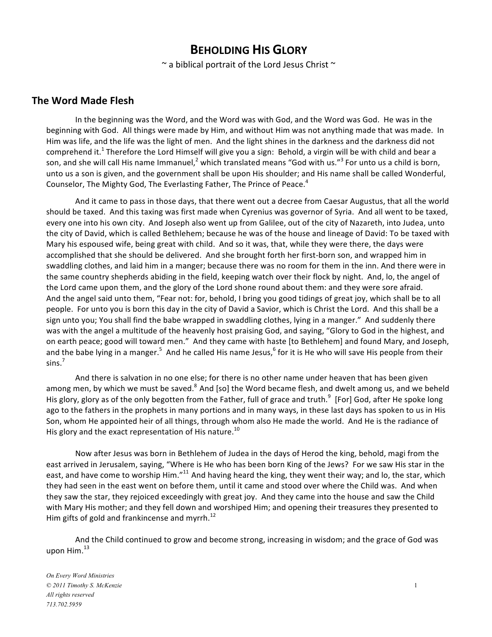# **BEHOLDING HIS GLORY**

 $\sim$  a biblical portrait of the Lord Jesus Christ  $\sim$ 

### **The Word Made Flesh**

In the beginning was the Word, and the Word was with God, and the Word was God. He was in the beginning with God. All things were made by Him, and without Him was not anything made that was made. In Him was life, and the life was the light of men. And the light shines in the darkness and the darkness did not comprehend it.<sup>1</sup> Therefore the Lord Himself will give you a sign: Behold, a virgin will be with child and bear a son, and she will call His name Immanuel,<sup>2</sup> which translated means "God with us."<sup>3</sup> For unto us a child is born, unto us a son is given, and the government shall be upon His shoulder; and His name shall be called Wonderful, Counselor, The Mighty God, The Everlasting Father, The Prince of Peace.<sup>4</sup>

And it came to pass in those days, that there went out a decree from Caesar Augustus, that all the world should be taxed. And this taxing was first made when Cyrenius was governor of Syria. And all went to be taxed, every one into his own city. And Joseph also went up from Galilee, out of the city of Nazareth, into Judea, unto the city of David, which is called Bethlehem; because he was of the house and lineage of David: To be taxed with Mary his espoused wife, being great with child. And so it was, that, while they were there, the days were accomplished that she should be delivered. And she brought forth her first-born son, and wrapped him in swaddling clothes, and laid him in a manger; because there was no room for them in the inn. And there were in the same country shepherds abiding in the field, keeping watch over their flock by night. And, lo, the angel of the Lord came upon them, and the glory of the Lord shone round about them: and they were sore afraid. And the angel said unto them, "Fear not: for, behold, I bring you good tidings of great joy, which shall be to all people. For unto you is born this day in the city of David a Savior, which is Christ the Lord. And this shall be a sign unto you; You shall find the babe wrapped in swaddling clothes, lying in a manger." And suddenly there was with the angel a multitude of the heavenly host praising God, and saying, "Glory to God in the highest, and on earth peace; good will toward men." And they came with haste [to Bethlehem] and found Mary, and Joseph, and the babe lying in a manger.<sup>5</sup> And he called His name Jesus,<sup>6</sup> for it is He who will save His people from their sins.<sup>7</sup>

And there is salvation in no one else; for there is no other name under heaven that has been given among men, by which we must be saved.<sup>8</sup> And [so] the Word became flesh, and dwelt among us, and we beheld His glory, glory as of the only begotten from the Father, full of grace and truth.<sup>9</sup> [For] God, after He spoke long ago to the fathers in the prophets in many portions and in many ways, in these last days has spoken to us in His Son, whom He appointed heir of all things, through whom also He made the world. And He is the radiance of His glory and the exact representation of His nature.<sup>10</sup>

Now after Jesus was born in Bethlehem of Judea in the days of Herod the king, behold, magi from the east arrived in Jerusalem, saying, "Where is He who has been born King of the Jews? For we saw His star in the east, and have come to worship Him."<sup>11</sup> And having heard the king, they went their way; and lo, the star, which they had seen in the east went on before them, until it came and stood over where the Child was. And when they saw the star, they rejoiced exceedingly with great joy. And they came into the house and saw the Child" with Mary His mother; and they fell down and worshiped Him; and opening their treasures they presented to Him gifts of gold and frankincense and myrrh.<sup>12</sup>

And the Child continued to grow and become strong, increasing in wisdom; and the grace of God was upon  $H$ im. $^{13}$ 

*On Every Word Ministries © 2011 Timothy S. McKenzie* 1 *All rights reserved 713.702.5959*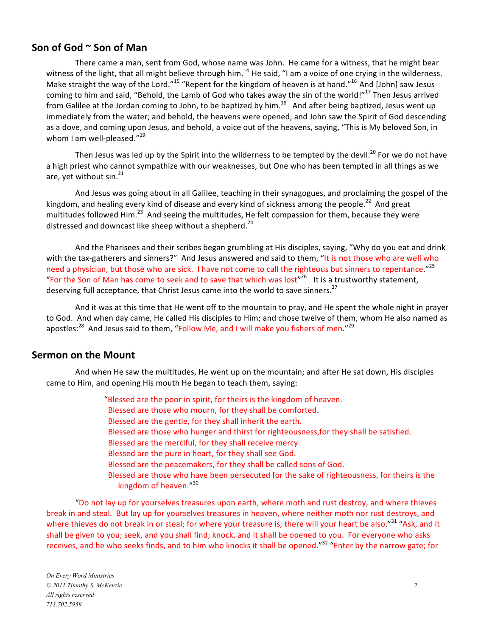### Son of God ~ Son of Man

There came a man, sent from God, whose name was John. He came for a witness, that he might bear witness of the light, that all might believe through him.<sup>14</sup> He said, "I am a voice of one crying in the wilderness. Make straight the way of the Lord."<sup>15</sup> "Repent for the kingdom of heaven is at hand."<sup>16</sup> And [John] saw Jesus coming to him and said, "Behold, the Lamb of God who takes away the sin of the world!"<sup>17</sup> Then Jesus arrived from Galilee at the Jordan coming to John, to be baptized by him.<sup>18</sup> And after being baptized, Jesus went up immediately from the water; and behold, the heavens were opened, and John saw the Spirit of God descending as a dove, and coming upon Jesus, and behold, a voice out of the heavens, saying, "This is My beloved Son, in whom I am well-pleased. $"^{19}$ 

Then Jesus was led up by the Spirit into the wilderness to be tempted by the devil.<sup>20</sup> For we do not have a high priest who cannot sympathize with our weaknesses, but One who has been tempted in all things as we are, yet without  $sin<sup>21</sup>$ 

And Jesus was going about in all Galilee, teaching in their synagogues, and proclaiming the gospel of the kingdom, and healing every kind of disease and every kind of sickness among the people.<sup>22</sup> And great multitudes followed Him.<sup>23</sup> And seeing the multitudes, He felt compassion for them, because they were distressed and downcast like sheep without a shepherd.<sup>24</sup>

And the Pharisees and their scribes began grumbling at His disciples, saying, "Why do you eat and drink with the tax-gatherers and sinners?" And Jesus answered and said to them, "It is not those who are well who need a physician, but those who are sick. I have not come to call the righteous but sinners to repentance."<sup>25</sup> "For the Son of Man has come to seek and to save that which was lost"<sup>26</sup> It is a trustworthy statement, deserving full acceptance, that Christ Jesus came into the world to save sinners.<sup>27</sup>

And it was at this time that He went off to the mountain to pray, and He spent the whole night in prayer to God. And when day came, He called His disciples to Him; and chose twelve of them, whom He also named as apostles:<sup>28</sup> And Jesus said to them, "Follow Me, and I will make you fishers of men."<sup>29</sup>

### **Sermon on the Mount**

And when He saw the multitudes, He went up on the mountain; and after He sat down, His disciples came to Him, and opening His mouth He began to teach them, saying:

> "Blessed are the poor in spirit, for theirs is the kingdom of heaven. Blessed are those who mourn, for they shall be comforted. Blessed are the gentle, for they shall inherit the earth. Blessed are those who hunger and thirst for righteousness,for they shall be satisfied. Blessed are the merciful, for they shall receive mercy. Blessed are the pure in heart, for they shall see God. Blessed are the peacemakers, for they shall be called sons of God. Blessed are those who have been persecuted for the sake of righteousness, for theirs is the kingdom of heaven."<sup>30</sup>

"Do not lay up for yourselves treasures upon earth, where moth and rust destroy, and where thieves break in and steal. But lay up for yourselves treasures in heaven, where neither moth nor rust destroys, and where thieves do not break in or steal; for where your treasure is, there will your heart be also."<sup>31</sup> "Ask, and it shall be given to you; seek, and you shall find; knock, and it shall be opened to you. For everyone who asks receives, and he who seeks finds, and to him who knocks it shall be opened."<sup>32</sup> "Enter by the narrow gate; for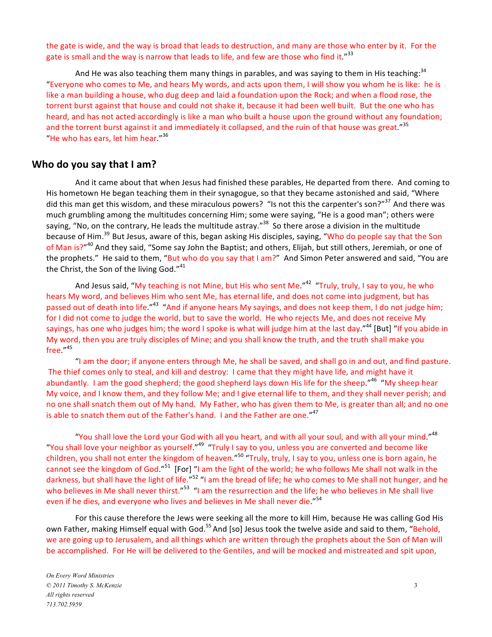the gate is wide, and the way is broad that leads to destruction, and many are those who enter by it. For the gate is small and the way is narrow that leads to life, and few are those who find it."<sup>33</sup>

And He was also teaching them many things in parables, and was saying to them in His teaching:  $34$ "Everyone who comes to Me, and hears My words, and acts upon them, I will show you whom he is like: he is like a man building a house, who dug deep and laid a foundation upon the Rock; and when a flood rose, the torrent burst against that house and could not shake it, because it had been well built. But the one who has heard, and has not acted accordingly is like a man who built a house upon the ground without any foundation; and the torrent burst against it and immediately it collapsed, and the ruin of that house was great."<sup>35</sup> "He who has ears, let him hear." $36$ 

#### **Who do you say that I am?**

And it came about that when Jesus had finished these parables, He departed from there. And coming to His hometown He began teaching them in their synagogue, so that they became astonished and said, "Where did this man get this wisdom, and these miraculous powers? "Is not this the carpenter's son?"<sup>37</sup> And there was much grumbling among the multitudes concerning Him; some were saying, "He is a good man"; others were saying, "No, on the contrary, He leads the multitude astray."<sup>38</sup> So there arose a division in the multitude because of Him.<sup>39</sup> But Jesus, aware of this, began asking His disciples, saying, "Who do people say that the Son of Man is?"<sup>40</sup> And they said, "Some say John the Baptist; and others, Elijah, but still others, Jeremiah, or one of the prophets." He said to them, "But who do you say that I am?" And Simon Peter answered and said, "You are the Christ, the Son of the living God." $41$ 

And Jesus said, "My teaching is not Mine, but His who sent Me."<sup>42</sup> "Truly, truly, I say to you, he who hears My word, and believes Him who sent Me, has eternal life, and does not come into judgment, but has passed out of death into life."<sup>43</sup> "And if anyone hears My sayings, and does not keep them, I do not judge him; for I did not come to judge the world, but to save the world. He who rejects Me, and does not receive My sayings, has one who judges him; the word I spoke is what will judge him at the last day."<sup>44</sup> [But] "If you abide in My word, then you are truly disciples of Mine; and you shall know the truth, and the truth shall make you free."45

"I am the door; if anyone enters through Me, he shall be saved, and shall go in and out, and find pasture. The thief comes only to steal, and kill and destroy: I came that they might have life, and might have it abundantly. I am the good shepherd; the good shepherd lays down His life for the sheep."<sup>46</sup> "My sheep hear My voice, and I know them, and they follow Me; and I give eternal life to them, and they shall never perish; and no one shall snatch them out of My hand. My Father, who has given them to Me, is greater than all; and no one is able to snatch them out of the Father's hand. I and the Father are one."<sup>47</sup>

"You shall love the Lord your God with all you heart, and with all your soul, and with all your mind."<sup>48</sup> "You shall love your neighbor as yourself."<sup>49</sup> "Truly I say to you, unless you are converted and become like" children, you shall not enter the kingdom of heaven."<sup>50</sup> "Truly, truly, I say to you, unless one is born again, he cannot see the kingdom of God."<sup>51</sup> [For] "I am the light of the world; he who follows Me shall not walk in the darkness, but shall have the light of life."<sup>52</sup> "I am the bread of life; he who comes to Me shall not hunger, and he who believes in Me shall never thirst."<sup>53</sup> "I am the resurrection and the life; he who believes in Me shall live even if he dies, and everyone who lives and believes in Me shall never die."<sup>54</sup>

For this cause therefore the Jews were seeking all the more to kill Him, because He was calling God His own Father, making Himself equal with God.<sup>55</sup> And [so] Jesus took the twelve aside and said to them, "Behold, we are going up to Jerusalem, and all things which are written through the prophets about the Son of Man will be accomplished. For He will be delivered to the Gentiles, and will be mocked and mistreated and spit upon,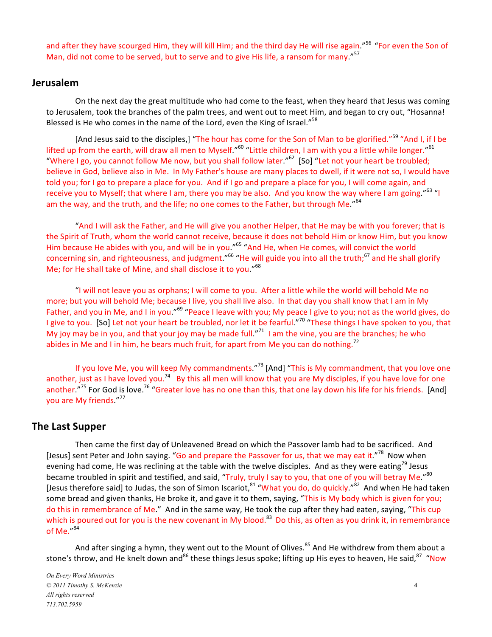and after they have scourged Him, they will kill Him; and the third day He will rise again."<sup>56</sup> "For even the Son of Man, did not come to be served, but to serve and to give His life, a ransom for many."<sup>57</sup>

#### **Jerusalem**

On the next day the great multitude who had come to the feast, when they heard that Jesus was coming to Jerusalem, took the branches of the palm trees, and went out to meet Him, and began to cry out, "Hosanna!" Blessed is He who comes in the name of the Lord, even the King of Israel."<sup>58</sup>

[And Jesus said to the disciples,] "The hour has come for the Son of Man to be glorified."<sup>59</sup> "And I, if I be lifted up from the earth, will draw all men to Myself."<sup>60</sup> "Little children, I am with you a little while longer."<sup>61</sup> "Where I go, you cannot follow Me now, but you shall follow later."<sup>62</sup> [So] "Let not your heart be troubled; believe in God, believe also in Me. In My Father's house are many places to dwell, if it were not so, I would have told you; for I go to prepare a place for you. And if I go and prepare a place for you, I will come again, and receive you to Myself; that where I am, there you may be also. And you know the way where I am going."<sup>63</sup> "I am the way, and the truth, and the life; no one comes to the Father, but through Me."<sup>64</sup>

"And I will ask the Father, and He will give you another Helper, that He may be with you forever; that is the Spirit of Truth, whom the world cannot receive, because it does not behold Him or know Him, but you know Him because He abides with you, and will be in you."<sup>65</sup> "And He, when He comes, will convict the world concerning sin, and righteousness, and judgment."<sup>66</sup> "He will guide you into all the truth;<sup>67</sup> and He shall glorify Me; for He shall take of Mine, and shall disclose it to you."<sup>68</sup>

"I will not leave you as orphans; I will come to you. After a little while the world will behold Me no" more; but you will behold Me; because I live, you shall live also. In that day you shall know that I am in My Father, and you in Me, and I in you."<sup>69</sup> "Peace I leave with you; My peace I give to you; not as the world gives, do I give to you. [So] Let not your heart be troubled, nor let it be fearful."<sup>70</sup> "These things I have spoken to you, that My joy may be in you, and that your joy may be made full."<sup>71</sup> I am the vine, you are the branches; he who abides in Me and I in him, he bears much fruit, for apart from Me you can do nothing.<sup>72</sup>

If you love Me, you will keep My commandments."<sup>73</sup> [And] "This is My commandment, that you love one another, just as I have loved you.<sup>74</sup> By this all men will know that you are My disciples, if you have love for one another."<sup>75</sup> For God is love.<sup>76</sup> "Greater love has no one than this, that one lay down his life for his friends. [And] you are My friends."<sup>77</sup>

#### **The Last Supper**

Then came the first day of Unleavened Bread on which the Passover lamb had to be sacrificed. And [Jesus] sent Peter and John saying. "Go and prepare the Passover for us, that we may eat it."<sup>78</sup> Now when evening had come, He was reclining at the table with the twelve disciples. And as they were eating<sup>79</sup> Jesus became troubled in spirit and testified, and said, "Truly, truly I say to you, that one of you will betray Me."<sup>80</sup> [Jesus therefore said] to Judas, the son of Simon Iscariot,<sup>81</sup> "What you do, do quickly."<sup>82</sup> And when He had taken some bread and given thanks, He broke it, and gave it to them, saying, "This is My body which is given for you; do this in remembrance of Me." And in the same way, He took the cup after they had eaten, saying, "This cup" which is poured out for you is the new covenant in My blood.<sup>83</sup> Do this, as often as you drink it, in remembrance of Me. $^{\prime\prime}$ <sup>84</sup>

And after singing a hymn, they went out to the Mount of Olives.<sup>85</sup> And He withdrew from them about a stone's throw, and He knelt down and<sup>86</sup> these things Jesus spoke; lifting up His eyes to heaven, He said,<sup>87</sup> "Now

*On Every Word Ministries © 2011 Timothy S. McKenzie* 4 *All rights reserved 713.702.5959*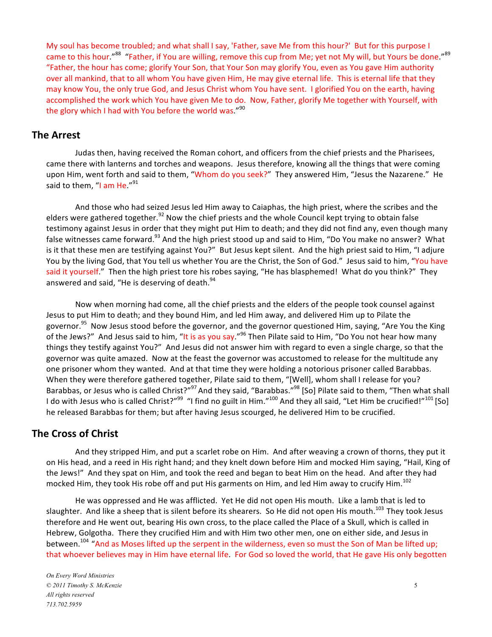My soul has become troubled; and what shall I say, 'Father, save Me from this hour?' But for this purpose I came to this hour."<sup>88</sup> "Father, if You are willing, remove this cup from Me; yet not My will, but Yours be done."<sup>89</sup> "Father, the hour has come; glorify Your Son, that Your Son may glorify You, even as You gave Him authority over all mankind, that to all whom You have given Him, He may give eternal life. This is eternal life that they may know You, the only true God, and Jesus Christ whom You have sent. I glorified You on the earth, having accomplished the work which You have given Me to do. Now, Father, glorify Me together with Yourself, with the glory which I had with You before the world was."<sup>90</sup>

#### **The Arrest**

Judas then, having received the Roman cohort, and officers from the chief priests and the Pharisees, came there with lanterns and torches and weapons. Jesus therefore, knowing all the things that were coming upon Him, went forth and said to them, "Whom do you seek?" They answered Him, "Jesus the Nazarene." He said to them, "I am He."<sup>91</sup>

And those who had seized Jesus led Him away to Caiaphas, the high priest, where the scribes and the elders were gathered together.<sup>92</sup> Now the chief priests and the whole Council kept trying to obtain false testimony against Jesus in order that they might put Him to death; and they did not find any, even though many false witnesses came forward.<sup>93</sup> And the high priest stood up and said to Him, "Do You make no answer? What is it that these men are testifying against You?" But Jesus kept silent. And the high priest said to Him, "I adjure You by the living God, that You tell us whether You are the Christ, the Son of God." Jesus said to him, "You have said it yourself." Then the high priest tore his robes saying, "He has blasphemed! What do you think?" They answered and said, "He is deserving of death.<sup>94</sup>

Now when morning had come, all the chief priests and the elders of the people took counsel against Jesus to put Him to death; and they bound Him, and led Him away, and delivered Him up to Pilate the governor.<sup>95</sup> Now Jesus stood before the governor, and the governor questioned Him, saying, "Are You the King of the Jews?" And Jesus said to him, "It is as you say."<sup>96</sup> Then Pilate said to Him, "Do You not hear how many things they testify against You?" And Jesus did not answer him with regard to even a single charge, so that the governor was quite amazed. Now at the feast the governor was accustomed to release for the multitude any one prisoner whom they wanted. And at that time they were holding a notorious prisoner called Barabbas. When they were therefore gathered together, Pilate said to them, "[Well], whom shall I release for you? Barabbas, or Jesus who is called Christ?"<sup>97</sup> And they said, "Barabbas."<sup>98</sup> [So] Pilate said to them, "Then what shall I do with Jesus who is called Christ?"<sup>99</sup> "I find no guilt in Him."<sup>100</sup> And they all said, "Let Him be crucified!"<sup>101</sup> [So] he released Barabbas for them; but after having Jesus scourged, he delivered Him to be crucified.

#### **The Cross of Christ**

And they stripped Him, and put a scarlet robe on Him. And after weaving a crown of thorns, they put it on His head, and a reed in His right hand; and they knelt down before Him and mocked Him saying, "Hail, King of the Jews!" And they spat on Him, and took the reed and began to beat Him on the head. And after they had mocked Him, they took His robe off and put His garments on Him, and led Him away to crucify Him.<sup>102</sup>

He was oppressed and He was afflicted. Yet He did not open His mouth. Like a lamb that is led to slaughter. And like a sheep that is silent before its shearers. So He did not open His mouth.<sup>103</sup> They took Jesus therefore and He went out, bearing His own cross, to the place called the Place of a Skull, which is called in Hebrew, Golgotha. There they crucified Him and with Him two other men, one on either side, and Jesus in between.<sup>104</sup> "And as Moses lifted up the serpent in the wilderness, even so must the Son of Man be lifted up; that whoever believes may in Him have eternal life. For God so loved the world, that He gave His only begotten

*On Every Word Ministries © 2011 Timothy S. McKenzie* 5 *All rights reserved 713.702.5959*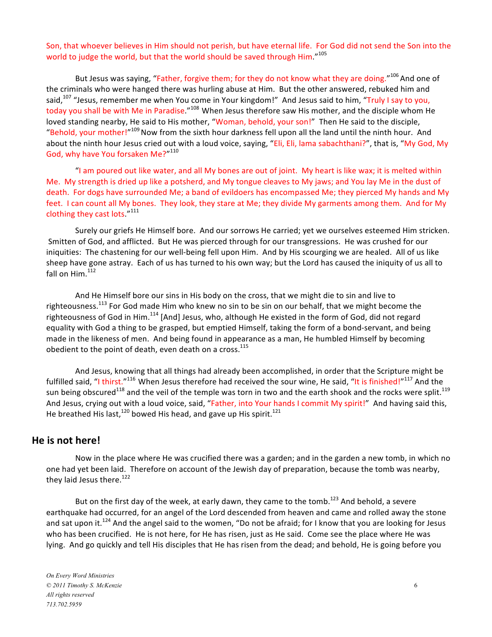Son, that whoever believes in Him should not perish, but have eternal life. For God did not send the Son into the world to judge the world, but that the world should be saved through Him."<sup>105</sup>

But Jesus was saying, "Father, forgive them; for they do not know what they are doing."<sup>106</sup> And one of the criminals who were hanged there was hurling abuse at Him. But the other answered, rebuked him and said,<sup>107</sup> "Jesus, remember me when You come in Your kingdom!" And Jesus said to him, "Truly I say to you, today you shall be with Me in Paradise."<sup>108</sup> When Jesus therefore saw His mother, and the disciple whom He" loved standing nearby, He said to His mother, "Woman, behold, your son!" Then He said to the disciple, "Behold, your mother!"<sup>109</sup> Now from the sixth hour darkness fell upon all the land until the ninth hour. And about the ninth hour Jesus cried out with a loud voice, saying, "Eli, Eli, lama sabachthani?", that is, "My God, My God, why have You forsaken Me?"<sup>110</sup>

"I am poured out like water, and all My bones are out of joint. My heart is like wax; it is melted within Me. My strength is dried up like a potsherd, and My tongue cleaves to My jaws; and You lay Me in the dust of death." For dogs have surrounded Me; a band of evildoers has encompassed Me; they pierced My hands and My feet. I can count all My bones. They look, they stare at Me; they divide My garments among them. And for My clothing they cast lots. $"$ <sup>111</sup>

Surely our griefs He Himself bore. And our sorrows He carried; yet we ourselves esteemed Him stricken. Smitten of God, and afflicted. But He was pierced through for our transgressions. He was crushed for our iniquities: The chastening for our well-being fell upon Him. And by His scourging we are healed. All of us like sheep have gone astray. Each of us has turned to his own way; but the Lord has caused the iniquity of us all to fall on  $H$ im. $112$ 

And He Himself bore our sins in His body on the cross, that we might die to sin and live to righteousness.<sup>113</sup> For God made Him who knew no sin to be sin on our behalf, that we might become the righteousness of God in Him.<sup>114</sup> [And] Jesus, who, although He existed in the form of God, did not regard equality with God a thing to be grasped, but emptied Himself, taking the form of a bond-servant, and being made in the likeness of men. And being found in appearance as a man, He humbled Himself by becoming obedient to the point of death, even death on a cross.<sup>115</sup>

And Jesus, knowing that all things had already been accomplished, in order that the Scripture might be fulfilled said, "I thirst."<sup>116</sup> When Jesus therefore had received the sour wine, He said, "It is finished!"<sup>117</sup> And the sun being obscured<sup>118</sup> and the veil of the temple was torn in two and the earth shook and the rocks were split.<sup>119</sup> And Jesus, crying out with a loud voice, said, "Father, into Your hands I commit My spirit!" And having said this, He breathed His last, $120$  bowed His head, and gave up His spirit. $121$ 

#### He is not here!

Now in the place where He was crucified there was a garden; and in the garden a new tomb, in which no one had yet been laid. Therefore on account of the Jewish day of preparation, because the tomb was nearby, they laid Jesus there. $122$ 

But on the first day of the week, at early dawn, they came to the tomb.<sup>123</sup> And behold, a severe earthquake had occurred, for an angel of the Lord descended from heaven and came and rolled away the stone and sat upon it.<sup>124</sup> And the angel said to the women, "Do not be afraid; for I know that you are looking for Jesus who has been crucified. He is not here, for He has risen, just as He said. Come see the place where He was lying. And go quickly and tell His disciples that He has risen from the dead; and behold, He is going before you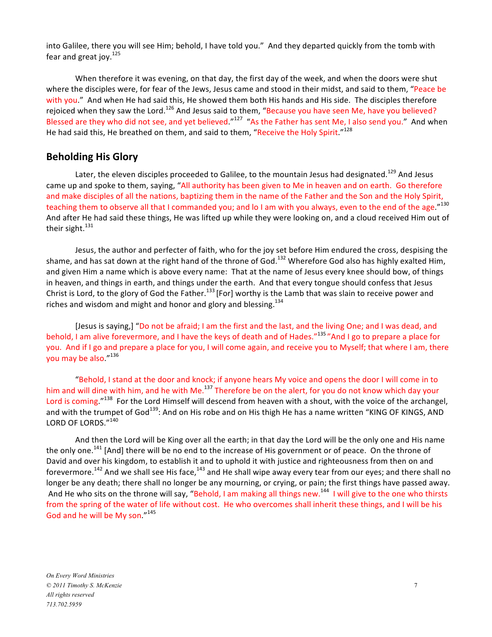into Galilee, there you will see Him; behold, I have told you." And they departed quickly from the tomb with fear and great joy. $125$ 

When therefore it was evening, on that day, the first day of the week, and when the doors were shut where the disciples were, for fear of the Jews, Jesus came and stood in their midst, and said to them, "Peace be with you." And when He had said this, He showed them both His hands and His side. The disciples therefore rejoiced when they saw the Lord.<sup>126</sup> And Jesus said to them, "Because you have seen Me, have you believed?" Blessed are they who did not see, and yet believed."<sup>127</sup> "As the Father has sent Me, I also send you." And when He had said this, He breathed on them, and said to them, "Receive the Holy Spirit."<sup>128</sup>

### **Beholding His Glory**

Later, the eleven disciples proceeded to Galilee, to the mountain Jesus had designated.<sup>129</sup> And Jesus came up and spoke to them, saying, "All authority has been given to Me in heaven and on earth. Go therefore and make disciples of all the nations, baptizing them in the name of the Father and the Son and the Holy Spirit, teaching them to observe all that I commanded you; and lo I am with you always, even to the end of the age."<sup>130</sup> And after He had said these things, He was lifted up while they were looking on, and a cloud received Him out of their sight. $131$ 

Jesus, the author and perfecter of faith, who for the joy set before Him endured the cross, despising the shame, and has sat down at the right hand of the throne of God.<sup>132</sup> Wherefore God also has highly exalted Him, and given Him a name which is above every name: That at the name of Jesus every knee should bow, of things in heaven, and things in earth, and things under the earth. And that every tongue should confess that Jesus Christ is Lord, to the glory of God the Father.<sup>133</sup> [For] worthy is the Lamb that was slain to receive power and riches and wisdom and might and honor and glory and blessing.<sup>134</sup>

[Jesus is saying,] "Do not be afraid; I am the first and the last, and the living One; and I was dead, and behold, I am alive forevermore, and I have the keys of death and of Hades."<sup>135</sup> "And I go to prepare a place for you. And if I go and prepare a place for you, I will come again, and receive you to Myself; that where I am, there you may be also."<sup>136</sup>

"Behold, I stand at the door and knock; if anyone hears My voice and opens the door I will come in to him and will dine with him, and he with Me.<sup>137</sup> Therefore be on the alert, for you do not know which day your Lord is coming."<sup>138</sup> For the Lord Himself will descend from heaven with a shout, with the voice of the archangel, and with the trumpet of God<sup>139</sup>: And on His robe and on His thigh He has a name written "KING OF KINGS, AND LORD OF LORDS."140

And then the Lord will be King over all the earth; in that day the Lord will be the only one and His name the only one.<sup>141</sup> [And] there will be no end to the increase of His government or of peace. On the throne of David and over his kingdom, to establish it and to uphold it with justice and righteousness from then on and forevermore.<sup>142</sup> And we shall see His face,<sup>143</sup> and He shall wipe away every tear from our eyes; and there shall no longer be any death; there shall no longer be any mourning, or crying, or pain; the first things have passed away. And He who sits on the throne will say, "Behold, I am making all things new.<sup>144</sup> I will give to the one who thirsts from the spring of the water of life without cost. He who overcomes shall inherit these things, and I will be his God and he will be My son."<sup>145</sup>

*On Every Word Ministries © 2011 Timothy S. McKenzie* 7 *All rights reserved 713.702.5959*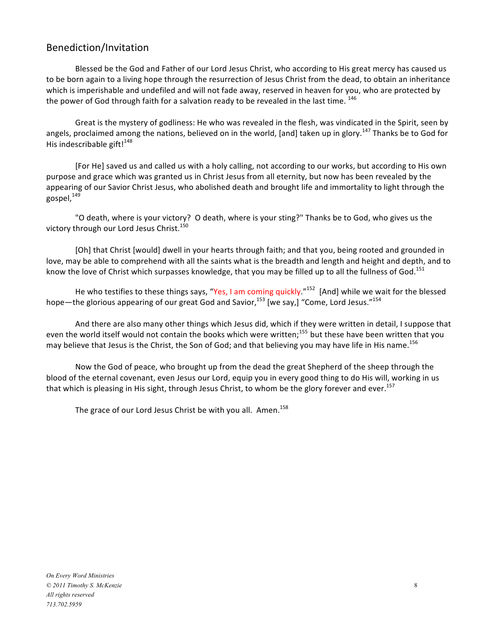# Benediction/Invitation

Blessed be the God and Father of our Lord Jesus Christ, who according to His great mercy has caused us to be born again to a living hope through the resurrection of Jesus Christ from the dead, to obtain an inheritance which is imperishable and undefiled and will not fade away, reserved in heaven for you, who are protected by the power of God through faith for a salvation ready to be revealed in the last time. <sup>146</sup>

Great is the mystery of godliness: He who was revealed in the flesh, was vindicated in the Spirit, seen by angels, proclaimed among the nations, believed on in the world, [and] taken up in glory.<sup>147</sup> Thanks be to God for His indescribable gift! $148$ 

[For He] saved us and called us with a holy calling, not according to our works, but according to His own purpose and grace which was granted us in Christ Jesus from all eternity, but now has been revealed by the appearing of our Savior Christ Jesus, who abolished death and brought life and immortality to light through the gospel.<sup>149</sup>

"O death, where is your victory? O death, where is your sting?" Thanks be to God, who gives us the victory through our Lord Jesus Christ.<sup>150</sup>

[Oh] that Christ [would] dwell in your hearts through faith; and that you, being rooted and grounded in love, may be able to comprehend with all the saints what is the breadth and length and height and depth, and to know the love of Christ which surpasses knowledge, that you may be filled up to all the fullness of God.<sup>151</sup>

He who testifies to these things says, "Yes, I am coming quickly."<sup>152</sup> [And] while we wait for the blessed hope—the glorious appearing of our great God and Savior,  $^{153}$  [we say,] "Come, Lord Jesus."<sup>154</sup>

And there are also many other things which Jesus did, which if they were written in detail, I suppose that even the world itself would not contain the books which were written;<sup>155</sup> but these have been written that you may believe that Jesus is the Christ, the Son of God; and that believing you may have life in His name.<sup>156</sup>

Now the God of peace, who brought up from the dead the great Shepherd of the sheep through the blood of the eternal covenant, even Jesus our Lord, equip you in every good thing to do His will, working in us that which is pleasing in His sight, through Jesus Christ, to whom be the glory forever and ever.<sup>157</sup>

The grace of our Lord Jesus Christ be with you all. Amen.<sup>158</sup>